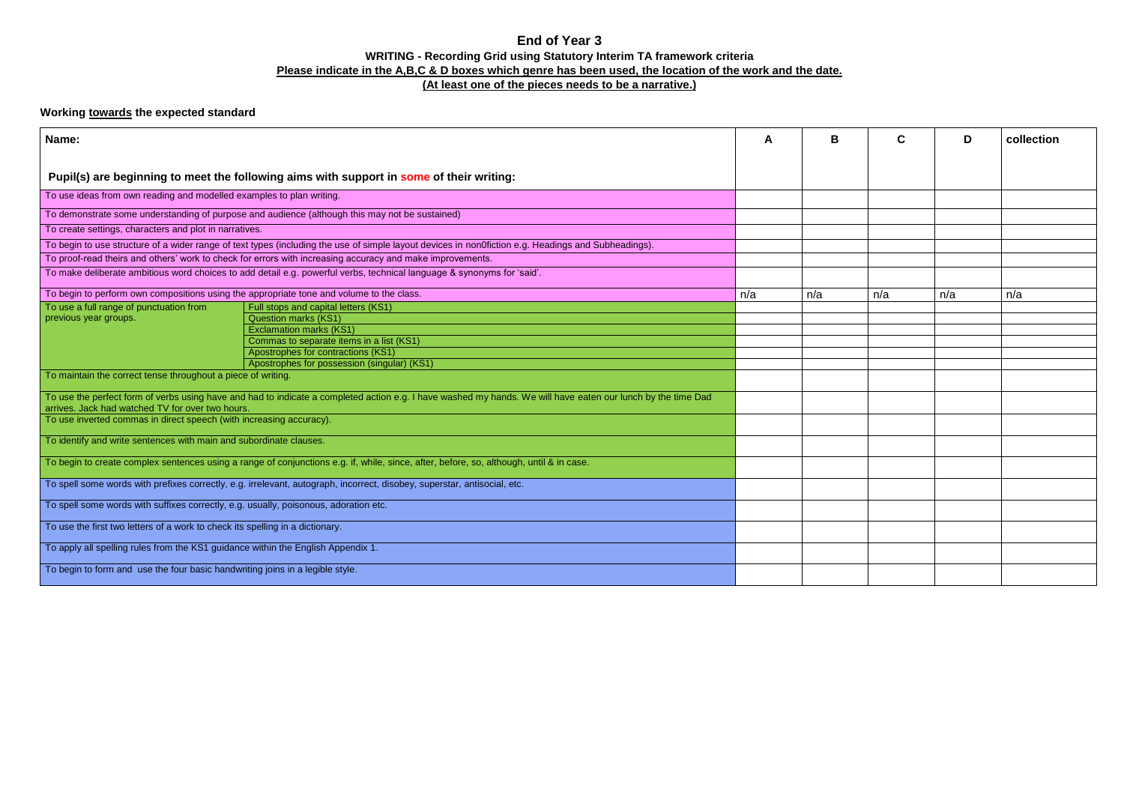## **End of Year 3 WRITING - Recording Grid using Statutory Interim TA framework criteria Please indicate in the A,B,C & D boxes which genre has been used, the location of the work and the date. (At least one of the pieces needs to be a narrative.)**

## **Working towards the expected standard**

| Name:                                                                                                                                                                                                            |                                             | A   | B   | C   | D   | collection |
|------------------------------------------------------------------------------------------------------------------------------------------------------------------------------------------------------------------|---------------------------------------------|-----|-----|-----|-----|------------|
| Pupil(s) are beginning to meet the following aims with support in some of their writing:                                                                                                                         |                                             |     |     |     |     |            |
| To use ideas from own reading and modelled examples to plan writing.                                                                                                                                             |                                             |     |     |     |     |            |
| To demonstrate some understanding of purpose and audience (although this may not be sustained)                                                                                                                   |                                             |     |     |     |     |            |
| To create settings, characters and plot in narratives.                                                                                                                                                           |                                             |     |     |     |     |            |
| To begin to use structure of a wider range of text types (including the use of simple layout devices in nonOfiction e.g. Headings and Subheadings).                                                              |                                             |     |     |     |     |            |
| To proof-read theirs and others' work to check for errors with increasing accuracy and make improvements.                                                                                                        |                                             |     |     |     |     |            |
| To make deliberate ambitious word choices to add detail e.g. powerful verbs, technical language & synonyms for 'said'.                                                                                           |                                             |     |     |     |     |            |
| To begin to perform own compositions using the appropriate tone and volume to the class.                                                                                                                         |                                             | n/a | n/a | n/a | n/a | n/a        |
| To use a full range of punctuation from                                                                                                                                                                          | Full stops and capital letters (KS1)        |     |     |     |     |            |
| previous year groups.                                                                                                                                                                                            | <b>Question marks (KS1)</b>                 |     |     |     |     |            |
|                                                                                                                                                                                                                  | <b>Exclamation marks (KS1)</b>              |     |     |     |     |            |
|                                                                                                                                                                                                                  | Commas to separate items in a list (KS1)    |     |     |     |     |            |
|                                                                                                                                                                                                                  | Apostrophes for contractions (KS1)          |     |     |     |     |            |
|                                                                                                                                                                                                                  | Apostrophes for possession (singular) (KS1) |     |     |     |     |            |
| To maintain the correct tense throughout a piece of writing.                                                                                                                                                     |                                             |     |     |     |     |            |
| To use the perfect form of verbs using have and had to indicate a completed action e.g. I have washed my hands. We will have eaten our lunch by the time Dad<br>arrives. Jack had watched TV for over two hours. |                                             |     |     |     |     |            |
| To use inverted commas in direct speech (with increasing accuracy).                                                                                                                                              |                                             |     |     |     |     |            |
| To identify and write sentences with main and subordinate clauses.                                                                                                                                               |                                             |     |     |     |     |            |
| To begin to create complex sentences using a range of conjunctions e.g. if, while, since, after, before, so, although, until & in case.                                                                          |                                             |     |     |     |     |            |
| To spell some words with prefixes correctly, e.g. irrelevant, autograph, incorrect, disobey, superstar, antisocial, etc.                                                                                         |                                             |     |     |     |     |            |
| To spell some words with suffixes correctly, e.g. usually, poisonous, adoration etc.                                                                                                                             |                                             |     |     |     |     |            |
| To use the first two letters of a work to check its spelling in a dictionary.                                                                                                                                    |                                             |     |     |     |     |            |
| To apply all spelling rules from the KS1 guidance within the English Appendix 1.                                                                                                                                 |                                             |     |     |     |     |            |
| To begin to form and use the four basic handwriting joins in a legible style.                                                                                                                                    |                                             |     |     |     |     |            |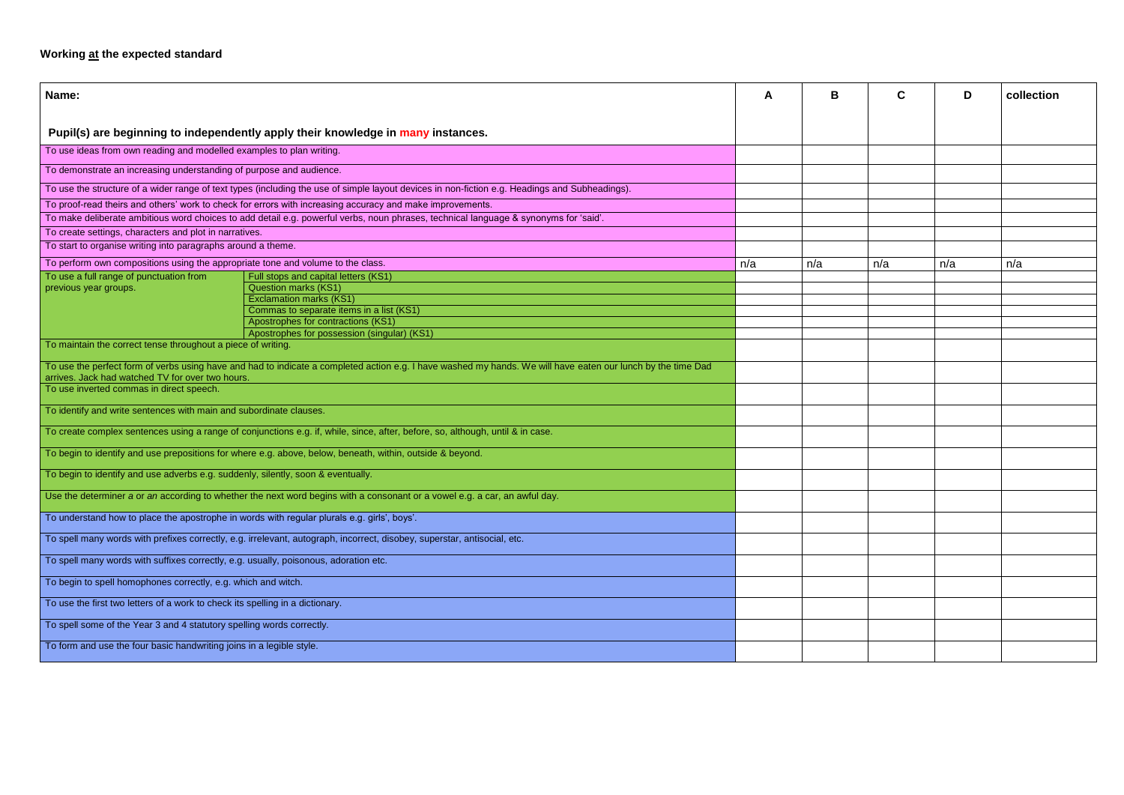## **Working at the expected standard**

| Name:                                                                                                                                                                                                            |                                                                                                                                                | A   | B   | C   | D   | collection |
|------------------------------------------------------------------------------------------------------------------------------------------------------------------------------------------------------------------|------------------------------------------------------------------------------------------------------------------------------------------------|-----|-----|-----|-----|------------|
|                                                                                                                                                                                                                  | Pupil(s) are beginning to independently apply their knowledge in many instances.                                                               |     |     |     |     |            |
| To use ideas from own reading and modelled examples to plan writing.                                                                                                                                             |                                                                                                                                                |     |     |     |     |            |
| To demonstrate an increasing understanding of purpose and audience.                                                                                                                                              |                                                                                                                                                |     |     |     |     |            |
|                                                                                                                                                                                                                  | To use the structure of a wider range of text types (including the use of simple layout devices in non-fiction e.g. Headings and Subheadings). |     |     |     |     |            |
| To proof-read theirs and others' work to check for errors with increasing accuracy and make improvements.                                                                                                        |                                                                                                                                                |     |     |     |     |            |
| To make deliberate ambitious word choices to add detail e.g. powerful verbs, noun phrases, technical language & synonyms for 'said'.                                                                             |                                                                                                                                                |     |     |     |     |            |
| To create settings, characters and plot in narratives.                                                                                                                                                           |                                                                                                                                                |     |     |     |     |            |
| To start to organise writing into paragraphs around a theme.                                                                                                                                                     |                                                                                                                                                |     |     |     |     |            |
| To perform own compositions using the appropriate tone and volume to the class.                                                                                                                                  |                                                                                                                                                | n/a | n/a | n/a | n/a | n/a        |
| To use a full range of punctuation from                                                                                                                                                                          | Full stops and capital letters (KS1)                                                                                                           |     |     |     |     |            |
| previous year groups.                                                                                                                                                                                            | <b>Question marks (KS1)</b>                                                                                                                    |     |     |     |     |            |
|                                                                                                                                                                                                                  | <b>Exclamation marks (KS1)</b>                                                                                                                 |     |     |     |     |            |
|                                                                                                                                                                                                                  | Commas to separate items in a list (KS1)                                                                                                       |     |     |     |     |            |
|                                                                                                                                                                                                                  | Apostrophes for contractions (KS1)                                                                                                             |     |     |     |     |            |
|                                                                                                                                                                                                                  | Apostrophes for possession (singular) (KS1)                                                                                                    |     |     |     |     |            |
| To maintain the correct tense throughout a piece of writing.                                                                                                                                                     |                                                                                                                                                |     |     |     |     |            |
| To use the perfect form of verbs using have and had to indicate a completed action e.g. I have washed my hands. We will have eaten our lunch by the time Dad<br>arrives. Jack had watched TV for over two hours. |                                                                                                                                                |     |     |     |     |            |
| To use inverted commas in direct speech.                                                                                                                                                                         |                                                                                                                                                |     |     |     |     |            |
| To identify and write sentences with main and subordinate clauses.                                                                                                                                               |                                                                                                                                                |     |     |     |     |            |
| To create complex sentences using a range of conjunctions e.g. if, while, since, after, before, so, although, until & in case.                                                                                   |                                                                                                                                                |     |     |     |     |            |
| To begin to identify and use prepositions for where e.g. above, below, beneath, within, outside & beyond.                                                                                                        |                                                                                                                                                |     |     |     |     |            |
| To begin to identify and use adverbs e.g. suddenly, silently, soon & eventually.                                                                                                                                 |                                                                                                                                                |     |     |     |     |            |
| Use the determiner a or an according to whether the next word begins with a consonant or a vowel e.g. a car, an awful day.                                                                                       |                                                                                                                                                |     |     |     |     |            |
| To understand how to place the apostrophe in words with regular plurals e.g. girls', boys'.                                                                                                                      |                                                                                                                                                |     |     |     |     |            |
| To spell many words with prefixes correctly, e.g. irrelevant, autograph, incorrect, disobey, superstar, antisocial, etc.                                                                                         |                                                                                                                                                |     |     |     |     |            |
| To spell many words with suffixes correctly, e.g. usually, poisonous, adoration etc.                                                                                                                             |                                                                                                                                                |     |     |     |     |            |
| To begin to spell homophones correctly, e.g. which and witch.                                                                                                                                                    |                                                                                                                                                |     |     |     |     |            |
| To use the first two letters of a work to check its spelling in a dictionary.                                                                                                                                    |                                                                                                                                                |     |     |     |     |            |
| To spell some of the Year 3 and 4 statutory spelling words correctly.                                                                                                                                            |                                                                                                                                                |     |     |     |     |            |
| To form and use the four basic handwriting joins in a legible style.                                                                                                                                             |                                                                                                                                                |     |     |     |     |            |